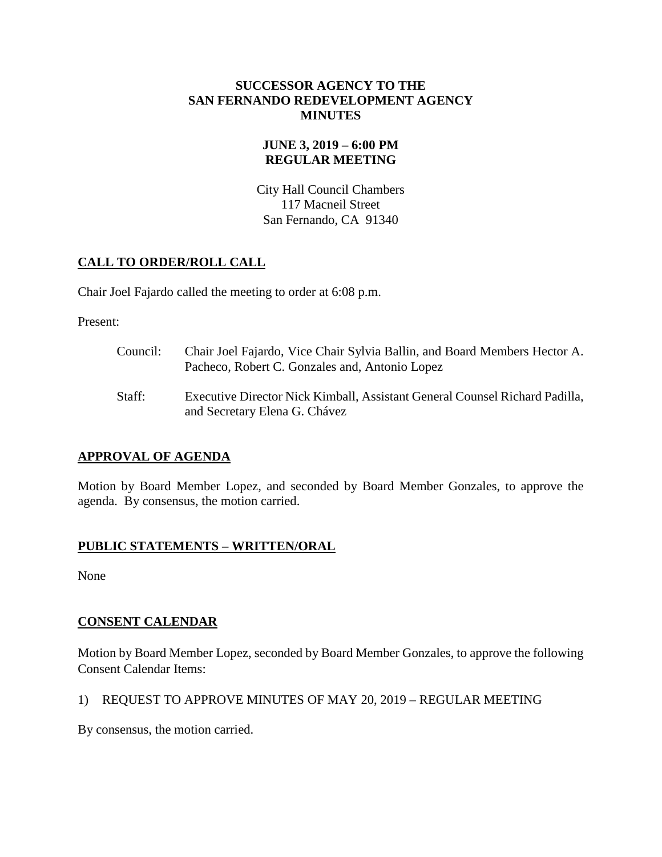#### **SUCCESSOR AGENCY TO THE SAN FERNANDO REDEVELOPMENT AGENCY MINUTES**

## **JUNE 3, 2019 – 6:00 PM REGULAR MEETING**

City Hall Council Chambers 117 Macneil Street San Fernando, CA 91340

# **CALL TO ORDER/ROLL CALL**

Chair Joel Fajardo called the meeting to order at 6:08 p.m.

Present:

- Council: Chair Joel Fajardo, Vice Chair Sylvia Ballin, and Board Members Hector A. Pacheco, Robert C. Gonzales and, Antonio Lopez
- Staff: Executive Director Nick Kimball, Assistant General Counsel Richard Padilla, and Secretary Elena G. Chávez

## **APPROVAL OF AGENDA**

Motion by Board Member Lopez, and seconded by Board Member Gonzales, to approve the agenda. By consensus, the motion carried.

## **PUBLIC STATEMENTS – WRITTEN/ORAL**

None

## **CONSENT CALENDAR**

Motion by Board Member Lopez, seconded by Board Member Gonzales, to approve the following Consent Calendar Items:

## 1) REQUEST TO APPROVE MINUTES OF MAY 20, 2019 – REGULAR MEETING

By consensus, the motion carried.